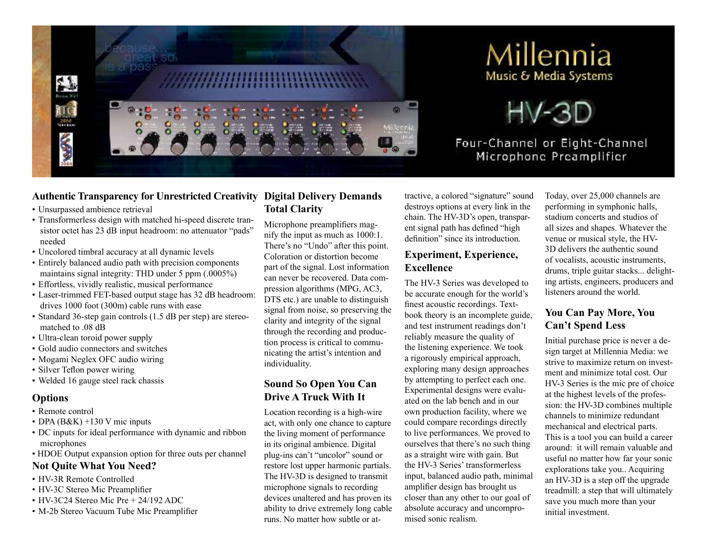





Four-Channel or Eight-Channel Microphone Preamplifier

### **Authentic Transparency for Unrestricted Creativity Digital Delivery Demands**

- Unsurpassed ambience retrieval
- Transformerless design with matched hi-speed discrete transistor octet has 23 dB input headroom: no attenuator "pads" needed
- Uncolored timbral accuracy at all dynamic levels
- Entirely balanced audio path with precision components maintains signal integrity: THD under 5 ppm (.0005%)
- Effortless, vividly realistic, musical performance
- Laser-trimmed FET-based output stage has 32 dB headroom: drives 1000 foot (300m) cable runs with ease
- Standard 36-step gain controls (1.5 dB per step) are stereomatched to .08 dB
- Ultra-clean toroid power supply
- Gold audio connectors and switches
- Mogami Neglex OFC audio wiring
- Silver Teflon power wiring
- Welded 16 gauge steel rack chassis

#### **Options**

- Remote control
- DPA  $(B&K)$  +130 V mic inputs
- DC inputs for ideal performance with dynamic and ribbon microphones
- HDOE Output expansion option for three outs per channel

### **Not Quite What You Need?**

- HV-3R Remote Controlled
- HV-3C Stereo Mic Preamplifier
- HV-3C24 Stereo Mic Pre + 24/192 ADC
- M-2b Stereo Vacuum Tube Mic Preamplifier

# **Total Clarity**

Microphone preamplifiers magnify the input as much as 1000:1. There's no "Undo" after this point. Coloration or distortion become part of the signal. Lost information can never be recovered. Data compression algorithms (MPG, AC3, DTS etc.) are unable to distinguish signal from noise, so preserving the clarity and integrity of the signal through the recording and production process is critical to communicating the artist's intention and individuality.

## **Sound So Open You Can Drive A Truck With It**

Location recording is a high-wire act, with only one chance to capture the living moment of performance in its original ambience. Digital plug-ins can't "uncolor" sound or restore lost upper harmonic partials. The HV-3D is designed to transmit microphone signals to recording devices unaltered and has proven its ability to drive extremely long cable runs. No matter how subtle or at-

tractive, a colored "signature" sound destroys options at every link in the chain. The HV-3D's open, transparent signal path has defined "high definition" since its introduction.

## **Experiment, Experience, Excellence**

The HV-3 Series was developed to be accurate enough for the world's finest acoustic recordings. Textbook theory is an incomplete guide, and test instrument readings don't reliably measure the quality of the listening experience. We took a rigorously empirical approach, exploring many design approaches by attempting to perfect each one. Experimental designs were evaluated on the lab bench and in our own production facility, where we could compare recordings directly to live performances. We proved to ourselves that there's no such thing as a straight wire with gain. But the HV-3 Series' transformerless input, balanced audio path, minimal amplifier design has brought us closer than any other to our goal of absolute accuracy and uncompromised sonic realism.

Today, over 25,000 channels are performing in symphonic halls, stadium concerts and studios of all sizes and shapes. Whatever the venue or musical style, the HV-3D delivers the authentic sound of vocalists, acoustic instruments, drums, triple guitar stacks... delighting artists, engineers, producers and listeners around the world.

## **You Can Pay More, You Can't Spend Less**

Initial purchase price is never a design target at Millennia Media: we strive to maximize return on investment and minimize total cost. Our HV-3 Series is the mic pre of choice at the highest levels of the profession: the HV-3D combines multiple channels to minimize redundant mechanical and electrical parts. This is a tool you can build a career around: it will remain valuable and useful no matter how far your sonic explorations take you.. Acquiring an HV-3D is a step off the upgrade treadmill: a step that will ultimately save you much more than your initial investment.